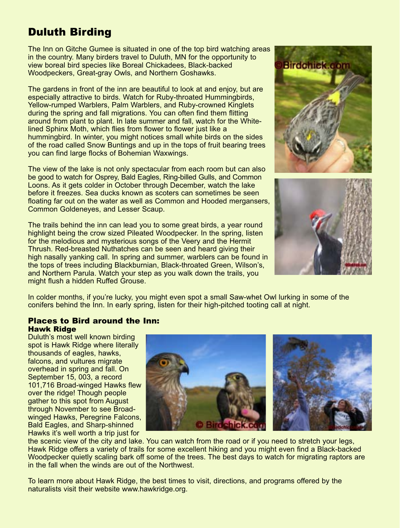# Duluth Birding

The Inn on Gitche Gumee is situated in one of the top bird watching areas in the country. Many birders travel to Duluth, MN for the opportunity to view boreal bird species like Boreal Chickadees, Black-backed Woodpeckers, Great-gray Owls, and Northern Goshawks.

The gardens in front of the inn are beautiful to look at and enjoy, but are especially attractive to birds. Watch for Ruby-throated Hummingbirds, Yellow-rumped Warblers, Palm Warblers, and Ruby-crowned Kinglets during the spring and fall migrations. You can often find them flitting around from plant to plant. In late summer and fall, watch for the Whitelined Sphinx Moth, which flies from flower to flower just like a hummingbird. In winter, you might notices small white birds on the sides of the road called Snow Buntings and up in the tops of fruit bearing trees you can find large flocks of Bohemian Waxwings.

The view of the lake is not only spectacular from each room but can also be good to watch for Osprey, Bald Eagles, Ring-billed Gulls, and Common Loons. As it gets colder in October through December, watch the lake before it freezes. Sea ducks known as scoters can sometimes be seen floating far out on the water as well as Common and Hooded mergansers, Common Goldeneyes, and Lesser Scaup.

The trails behind the inn can lead you to some great birds, a year round highlight being the crow sized Pileated Woodpecker. In the spring, listen for the melodious and mysterious songs of the Veery and the Hermit Thrush. Red-breasted Nuthatches can be seen and heard giving their high nasally yanking call. In spring and summer, warblers can be found in the tops of trees including Blackburnian, Black-throated Green, Wilson's, and Northern Parula. Watch your step as you walk down the trails, you might flush a hidden Ruffed Grouse.





In colder months, if you're lucky, you might even spot a small Saw-whet Owl lurking in some of the conifers behind the Inn. In early spring, listen for their high-pitched tooting call at night.

### **Places to Bird around the Inn: Hawk Ridge**

Duluth's most well known birding spot is Hawk Ridge where literally thousands of eagles, hawks, falcons, and vultures migrate overhead in spring and fall. On September 15, 003, a record 101,716 Broad-winged Hawks flew over the ridge! Though people gather to this spot from August through November to see Broadwinged Hawks, Peregrine Falcons, Bald Eagles, and Sharp-shinned Hawks it's well worth a trip just for



the scenic view of the city and lake. You can watch from the road or if you need to stretch your legs, Hawk Ridge offers a variety of trails for some excellent hiking and you might even find a Black-backed Woodpecker quietly scaling bark off some of the trees. The best days to watch for migrating raptors are in the fall when the winds are out of the Northwest.

To learn more about Hawk Ridge, the best times to visit, directions, and programs offered by the naturalists visit their website www.hawkridge.org.